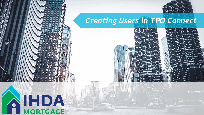

#### *Creating Users in TPO Connect*



## **IHDA**  $\bullet$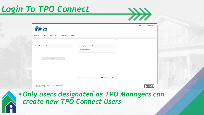#### *Login To TPO Connect*

|                                                                |                                                | <b>CONTACT US</b><br>Mike McEvoy ~ |
|----------------------------------------------------------------|------------------------------------------------|------------------------------------|
| <b>AIHDA</b>                                                   |                                                |                                    |
| PIPELINE<br>ADD NEW LOAN<br><b>WELCOME</b><br><b>SCENARIOS</b> | <b>DOCUMENTS</b>                               |                                    |
|                                                                | $\mathbb{P}$                                   |                                    |
|                                                                |                                                |                                    |
| <b>Recently Accessed Loans</b>                                 | <b>Company Announcements</b>                   |                                    |
|                                                                | TPO Connect Pilot Group<br>01/02/2020 09:54 AM |                                    |
|                                                                |                                                |                                    |
| No data.                                                       |                                                |                                    |
|                                                                |                                                |                                    |
|                                                                |                                                |                                    |
|                                                                |                                                |                                    |
|                                                                |                                                |                                    |
|                                                                | $\bullet$ 5 per page<br>$\bigcirc$             |                                    |

111 E Wacker St. Chicago, IL 60601 Privacy Policy Statement Toll Free: 877 - 456 - 2656



 $\cancel{+}$ 

#### • *Only users designated as TPO Managers can create new TPO Connect Users*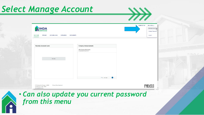#### *Select Manage Account*

| <b>AIHDA</b>                                                   |                                                       | Manage Account<br>Change Password |
|----------------------------------------------------------------|-------------------------------------------------------|-----------------------------------|
| <b>WELCOME</b><br>PIPELINE<br>ADD NEW LOAN<br><b>SCENARIOS</b> | <b>DOCUMENTS</b>                                      | Logout                            |
|                                                                |                                                       |                                   |
| <b>Recently Accessed Loans</b>                                 | <b>Company Announcements</b>                          |                                   |
|                                                                | <b>TPO Connect Pilot Group</b><br>01/02/2020 09:54 AM |                                   |
|                                                                |                                                       |                                   |
| No data.                                                       |                                                       |                                   |
|                                                                |                                                       |                                   |
|                                                                |                                                       |                                   |
|                                                                |                                                       |                                   |
|                                                                |                                                       |                                   |
|                                                                | * 5 per page   1                                      |                                   |
|                                                                |                                                       |                                   |

 $\cancel{+}$ 

• *Can also update you current password from this menu*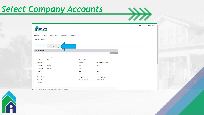#### *Select Company Accounts*

| <b>HDA</b>                                   |                                         |                     |                              | <b>CONTACT US</b> |
|----------------------------------------------|-----------------------------------------|---------------------|------------------------------|-------------------|
| <b>WELCOME</b><br>PIPELINE<br>Manage Account | <b>SCENARIOS</b><br><b>ADD NEW LOAN</b> | <b>DOCUMENTS</b>    |                              |                   |
| Personal Account                             | Company Account<br>$\frac{1}{2}$        |                     |                              |                   |
| My Information                               |                                         |                     | Edit Information             |                   |
| Email Address                                | mmcevoy@ihda.org                        | Branch DBA Name     |                              |                   |
| First Name                                   | Mike                                    | Company DBA Name    |                              |                   |
| Middle Name                                  |                                         | Address             | 111 E Wacker Dr, Ste 1000    |                   |
| Last Name                                    | McEvoy                                  | City                | Chicago                      |                   |
| Login Status                                 | Enabled                                 | State               | IL.                          |                   |
| <b>NMLS</b>                                  |                                         | Zip                 | 60601                        |                   |
| SSN                                          |                                         | Personas            | <b>TPO Manager</b>           |                   |
| <b>Business Phone</b>                        |                                         | Assigned AE         | <b>IHDA Mortgage Systems</b> |                   |
| <b>Business Fax</b>                          |                                         | Record Last Updated | 2/24/20 2:34:56              |                   |
| Cell Phone                                   |                                         |                     |                              |                   |
|                                              |                                         |                     |                              |                   |

 $\rightarrow\rightarrow$ 

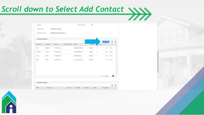# *Scroll down to Select Add Contact*

| AE Email Addresses      | IHDAMortgageSystems@ihda.org |                       |                     |              |                |                                     |               |
|-------------------------|------------------------------|-----------------------|---------------------|--------------|----------------|-------------------------------------|---------------|
| <b>Company Contacts</b> |                              |                       |                     |              |                |                                     |               |
| Last Name               | Address                      | <b>Business Phone</b> | Email               | Login Status | ersonas        | <b>Add Contact</b><br>$\frac{1}{6}$ | XII           |
| Nestlehut               | 111 E Wacker Dr.             |                       | knestlehut@Ihda.org | Enabled      | $\overline{2}$ | View                                | Delete        |
| Hannion                 | 111 E Wacker Dr.             |                       | shannlon@lhda.org   | Enabled      | $\overline{2}$ | View                                | <b>Delete</b> |
| Grimm                   | 111 E Wacker Dr.             |                       | tgrimm@ihda.org     | Enabled      | 1              | View                                | <b>Delete</b> |
| McEvoy                  | 111 E Wacker Dr.             |                       | mmcevoy@Ihda.org    | Enabled      | 1              | View                                | <b>Delete</b> |
|                         |                              |                       |                     |              |                |                                     |               |
|                         |                              |                       |                     |              |                |                                     |               |
|                         |                              |                       |                     |              |                |                                     | Φ             |
| <b>Company Licenses</b> |                              |                       |                     |              |                |                                     |               |
|                         |                              |                       |                     |              |                |                                     | ▼ 30 per page |

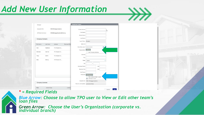#### *Add New User Information*

| Manager                 |              |                              |                      | <b>Create New Contact</b>           |                                                   |   |
|-------------------------|--------------|------------------------------|----------------------|-------------------------------------|---------------------------------------------------|---|
| Assigned AE's           |              | <b>IHDA Mortgage Systems</b> |                      | *Email Address                      |                                                   | ß |
| AE Email Addresses      |              | IHDAMortgageSystems@ihda.org |                      | * First Name                        |                                                   |   |
|                         |              |                              |                      | Middle Name                         |                                                   |   |
| <b>Company Contacts</b> |              |                              |                      | "Last Name                          |                                                   |   |
|                         |              |                              |                      | Login Status Enabled                |                                                   |   |
| First Name              | Last Name    | Address                      | <b>Business Phon</b> | NMLS ID                             |                                                   |   |
| Kyle                    | Nestlehut    | 111 E Wacker Dr.             |                      | Social Security #                   | ###.##.####<br>ø                                  |   |
|                         |              |                              |                      | * Organization                      | Choose                                            |   |
| SherlAnn                | Hannion      | 111 E Wacker Dr.             |                      |                                     | Use Company Address                               |   |
| Tracy                   | Grimm        | 111 E Wacker Dr.             |                      | Address                             |                                                   |   |
| Mike                    | McEvoy       | 111 E Wacker Dr,             |                      | City                                |                                                   |   |
|                         |              |                              |                      | *State                              | Select                                            | ۰ |
|                         |              |                              |                      | Zip                                 |                                                   |   |
|                         |              |                              |                      | <b>Business Phone</b>               | Ext.                                              |   |
|                         |              |                              |                      | <b>Business Fax</b>                 | Ext.                                              |   |
|                         |              |                              |                      | Cell Phone                          |                                                   |   |
|                         |              |                              |                      | * Personas                          | <b>Add Persona</b><br>View access to team's loans |   |
|                         |              |                              |                      |                                     | Edit team's loans                                 |   |
| <b>Company Licenses</b> |              |                              |                      |                                     | Assigned AE IHDA Mortgage Systems                 |   |
|                         |              |                              |                      | Record Last Updated 2/24/20 5:37:22 |                                                   |   |
| State                   | License Type |                              | License              |                                     |                                                   |   |

 $\gg$ 

#### *\* = Required Fields*

First Name

SheriAnn Tracy

*Blue Arrow: Choose to allow TPO user to View or Edit other team's loan files* 

*Green Arrow: Choose the User's Organization (corporate vs. individual branch)*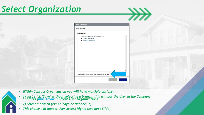#### *Select Organization*





 $\gg$ 

- *Within Contact Organization you will have multiple options:*
- *1) Just click 'Save' without selecting a branch, this will put the User in the Company Contacts (Blue Arrow: Current User Organization)*
- *2) Select a branch (ex: Chicago or Naperville)*
- *This choice will impact User Access Rights (see next Slide)*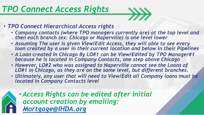#### *TPO Connect Access Rights*



- *TPO Connect Hierarchical Access rights*
	- *Company contacts (where TPO managers currently are) at the top level and then each branch (ex: Chicago or Naperville) is one level lower*
	- *Assuming The user is given View/Edit Access, they will able to see every loan created by a user in their current location and below in their Pipelines*
	- *A Loan created in Chicago By LO#1 can be View/Edited by TPO Manager#1 because he is located in Company Contacts, one step above Chicago*
	- *However, LO#2 who was assigned to Naperville cannot see the Loans of LO#1 in Chicago, as they are on the same level, but different branches.*
	- *Ultimately, any user that will need to View/Edit all Company loans must be located in Company Contacts level*

• *Access Rights can be edited after initial account creation by emailing: [Mortgage@IHDA.org](mailto:Mortgage@IHDA.org)*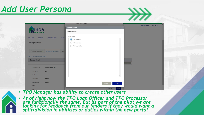#### *Add User Persona*



| <b>IHDA</b>                                                                  |                                       | <b>CONTACT US</b><br><b>Contact Persona</b><br>Mike McEvoy   | Mike McEvoy ~ |
|------------------------------------------------------------------------------|---------------------------------------|--------------------------------------------------------------|---------------|
| <b>WELCOME</b><br><b>PIPELINE</b><br><b>Manage Account</b>                   | <b>ADD NEW LOAN</b><br><b>SCENA</b>   | Personas<br>TPO Manager<br>TPO Processor<br>TPO Loan Officer |               |
| Personal Account<br><b>Back to Company Account</b><br><b>Contact Details</b> | <b>Company Account</b><br><b>Bran</b> |                                                              |               |
| <b>Email Address</b><br><b>First Name</b>                                    | mmcevoy@ihda.org<br>Mike              | Information                                                  |               |
| Middle Name<br>Last Name<br>Login Status                                     | McEvoy<br>Enabled                     | Cancel<br>Save                                               |               |
| <b>NMLS</b><br>SSN                                                           |                                       | Cancel<br>Save                                               |               |

- *TPO Manager has ability to create other users*
- *As of right now the TPO Loan Officer and TPO Processor are functionally the same, But as part of the pilot we are looking for feedback from our lenders if they would want a split/division in abilities or duties within the new portal*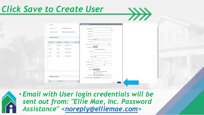#### *Click Save to Create User*

| Manager                 |              |                              |                      | Create New Contact                  |                                                  |           |                |
|-------------------------|--------------|------------------------------|----------------------|-------------------------------------|--------------------------------------------------|-----------|----------------|
| Assigned AE's           |              | <b>IHDA Mortgage Systems</b> |                      | * Email Address                     |                                                  |           | bу             |
| AE Email Addresses      |              | IHDAMortgageSystems@ihda.org |                      | * First Name                        |                                                  |           |                |
|                         |              |                              |                      | Middle Name                         |                                                  |           |                |
| <b>Company Contacts</b> |              |                              |                      | "Last Name                          |                                                  |           |                |
|                         |              |                              |                      | Login Status Enabled                |                                                  |           |                |
| First Name              | Last Name    | Address                      | <b>Business Phon</b> | NMLS ID                             |                                                  |           |                |
| Kyle                    | Nestlehut    | 111 E Wacker Dr.             |                      | Social Security #                   | ###.##.####                                      | $\bullet$ |                |
| SheriAnn                | Hannion      |                              |                      | * Organization                      | Choose                                           |           |                |
|                         |              | 111 E Wacker Dr.             |                      | Address                             | Use Company Address                              |           |                |
| Tracy                   | Grimm        | 111 E Wacker Dr.             |                      | City                                |                                                  |           |                |
| Mike                    | McEvoy       | 111 E Wacker Dr,             |                      | * State                             | Select                                           | ٠         |                |
|                         |              |                              |                      | Zip                                 |                                                  |           |                |
|                         |              |                              |                      | <b>Business Phone</b>               |                                                  | Ext.      |                |
|                         |              |                              |                      | Business Fax                        |                                                  | Ext.      |                |
|                         |              |                              |                      | Cell Phone                          |                                                  |           |                |
|                         |              |                              |                      | *Personas                           | Add Persona                                      |           |                |
|                         |              |                              |                      |                                     | View access to team's loans<br>Edit team's loans |           |                |
|                         |              |                              |                      |                                     | Assigned AE IHDA Mortgage Systems                |           |                |
| <b>Company Licenses</b> |              |                              |                      | Record Last Updated 2/24/20 5:37:22 |                                                  |           |                |
|                         |              |                              |                      |                                     |                                                  |           |                |
| State                   | License Type |                              | License              |                                     |                                                  |           | Save<br>Cancel |

 $\gg$ 

• *Email with User login credentials will be sent out from: "Ellie Mae, Inc. Password Assistance" <[noreply@elliemae.com](mailto:noreply@elliemae.com)>*